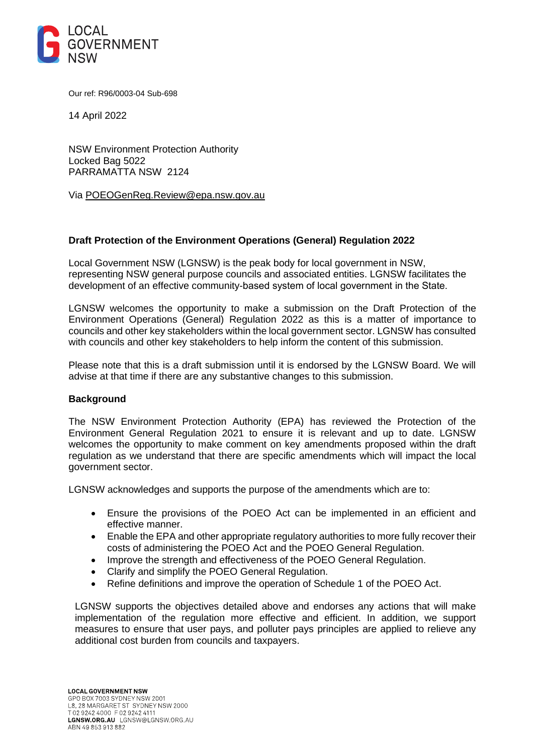

Our ref: R96/0003-04 Sub-698

14 April 2022

NSW Environment Protection Authority Locked Bag 5022 PARRAMATTA NSW 2124

Via [POEOGenReg.Review@epa.nsw.gov.au](mailto:POEOGenReg.Review@epa.nsw.gov.au)

## **Draft Protection of the Environment Operations (General) Regulation 2022**

Local Government NSW (LGNSW) is the peak body for local government in NSW, representing NSW general purpose councils and associated entities. LGNSW facilitates the development of an effective community-based system of local government in the State. 

LGNSW welcomes the opportunity to make a submission on the Draft Protection of the Environment Operations (General) Regulation 2022 as this is a matter of importance to councils and other key stakeholders within the local government sector. LGNSW has consulted with councils and other key stakeholders to help inform the content of this submission.

Please note that this is a draft submission until it is endorsed by the LGNSW Board. We will advise at that time if there are any substantive changes to this submission.

#### **Background**

The NSW Environment Protection Authority (EPA) has reviewed the Protection of the Environment General Regulation 2021 to ensure it is relevant and up to date. LGNSW welcomes the opportunity to make comment on key amendments proposed within the draft regulation as we understand that there are specific amendments which will impact the local government sector.

LGNSW acknowledges and supports the purpose of the amendments which are to:

- Ensure the provisions of the POEO Act can be implemented in an efficient and effective manner.
- Enable the EPA and other appropriate regulatory authorities to more fully recover their costs of administering the POEO Act and the POEO General Regulation.
- Improve the strength and effectiveness of the POEO General Regulation.
- Clarify and simplify the POEO General Regulation.
- Refine definitions and improve the operation of Schedule 1 of the POEO Act.

LGNSW supports the objectives detailed above and endorses any actions that will make implementation of the regulation more effective and efficient. In addition, we support measures to ensure that user pays, and polluter pays principles are applied to relieve any additional cost burden from councils and taxpayers.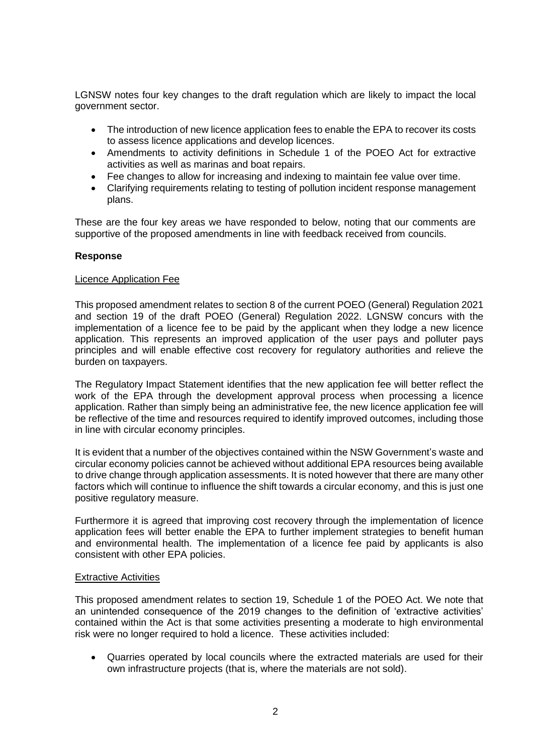LGNSW notes four key changes to the draft regulation which are likely to impact the local government sector.

- The introduction of new licence application fees to enable the EPA to recover its costs to assess licence applications and develop licences.
- Amendments to activity definitions in Schedule 1 of the POEO Act for extractive activities as well as marinas and boat repairs.
- Fee changes to allow for increasing and indexing to maintain fee value over time.
- Clarifying requirements relating to testing of pollution incident response management plans.

These are the four key areas we have responded to below, noting that our comments are supportive of the proposed amendments in line with feedback received from councils.

## **Response**

#### Licence Application Fee

This proposed amendment relates to section 8 of the current POEO (General) Regulation 2021 and section 19 of the draft POEO (General) Regulation 2022. LGNSW concurs with the implementation of a licence fee to be paid by the applicant when they lodge a new licence application. This represents an improved application of the user pays and polluter pays principles and will enable effective cost recovery for regulatory authorities and relieve the burden on taxpayers.

The Regulatory Impact Statement identifies that the new application fee will better reflect the work of the EPA through the development approval process when processing a licence application. Rather than simply being an administrative fee, the new licence application fee will be reflective of the time and resources required to identify improved outcomes, including those in line with circular economy principles.

It is evident that a number of the objectives contained within the NSW Government's waste and circular economy policies cannot be achieved without additional EPA resources being available to drive change through application assessments. It is noted however that there are many other factors which will continue to influence the shift towards a circular economy, and this is just one positive regulatory measure.

Furthermore it is agreed that improving cost recovery through the implementation of licence application fees will better enable the EPA to further implement strategies to benefit human and environmental health. The implementation of a licence fee paid by applicants is also consistent with other EPA policies.

#### Extractive Activities

This proposed amendment relates to section 19, Schedule 1 of the POEO Act. We note that an unintended consequence of the 2019 changes to the definition of 'extractive activities' contained within the Act is that some activities presenting a moderate to high environmental risk were no longer required to hold a licence. These activities included:

• Quarries operated by local councils where the extracted materials are used for their own infrastructure projects (that is, where the materials are not sold).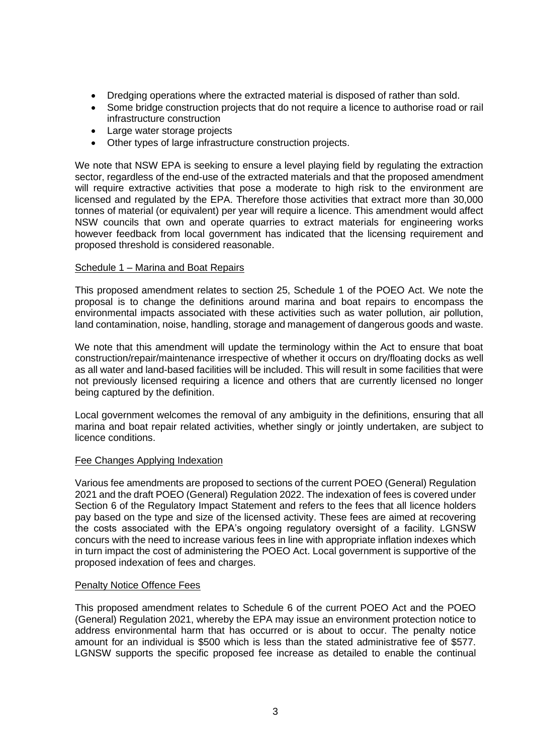- Dredging operations where the extracted material is disposed of rather than sold.
- Some bridge construction projects that do not require a licence to authorise road or rail infrastructure construction
- Large water storage projects
- Other types of large infrastructure construction projects.

We note that NSW EPA is seeking to ensure a level playing field by regulating the extraction sector, regardless of the end-use of the extracted materials and that the proposed amendment will require extractive activities that pose a moderate to high risk to the environment are licensed and regulated by the EPA. Therefore those activities that extract more than 30,000 tonnes of material (or equivalent) per year will require a licence. This amendment would affect NSW councils that own and operate quarries to extract materials for engineering works however feedback from local government has indicated that the licensing requirement and proposed threshold is considered reasonable.

# Schedule 1 – Marina and Boat Repairs

This proposed amendment relates to section 25, Schedule 1 of the POEO Act. We note the proposal is to change the definitions around marina and boat repairs to encompass the environmental impacts associated with these activities such as water pollution, air pollution, land contamination, noise, handling, storage and management of dangerous goods and waste.

We note that this amendment will update the terminology within the Act to ensure that boat construction/repair/maintenance irrespective of whether it occurs on dry/floating docks as well as all water and land-based facilities will be included. This will result in some facilities that were not previously licensed requiring a licence and others that are currently licensed no longer being captured by the definition.

Local government welcomes the removal of any ambiguity in the definitions, ensuring that all marina and boat repair related activities, whether singly or jointly undertaken, are subject to licence conditions.

# Fee Changes Applying Indexation

Various fee amendments are proposed to sections of the current POEO (General) Regulation 2021 and the draft POEO (General) Regulation 2022. The indexation of fees is covered under Section 6 of the Regulatory Impact Statement and refers to the fees that all licence holders pay based on the type and size of the licensed activity. These fees are aimed at recovering the costs associated with the EPA's ongoing regulatory oversight of a facility. LGNSW concurs with the need to increase various fees in line with appropriate inflation indexes which in turn impact the cost of administering the POEO Act. Local government is supportive of the proposed indexation of fees and charges.

# Penalty Notice Offence Fees

This proposed amendment relates to Schedule 6 of the current POEO Act and the POEO (General) Regulation 2021, whereby the EPA may issue an environment protection notice to address environmental harm that has occurred or is about to occur. The penalty notice amount for an individual is \$500 which is less than the stated administrative fee of \$577. LGNSW supports the specific proposed fee increase as detailed to enable the continual